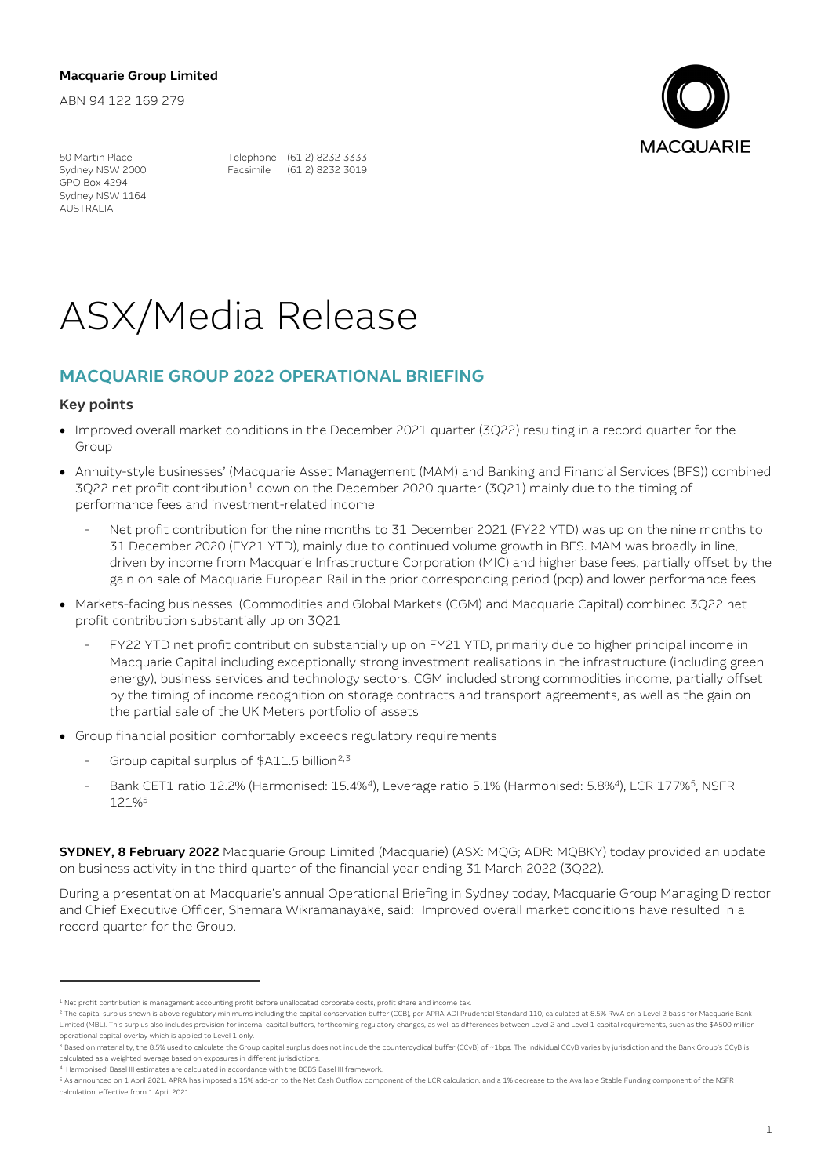## Macquarie Group Limited

ABN 94 122 169 279



GPO Box 4294 Sydney NSW 1164 AUSTRALIA

50 Martin Place Telephone (61 2) 8232 3333<br>Sydney NSW 2000 Facsimile (61 2) 8232 3019 Facsimile (61 2) 8232 3019

# ASX/Media Release

## MACQUARIE GROUP 2022 OPERATIONAL BRIEFING

### Key points

- Improved overall market conditions in the December 2021 quarter (3Q22) resulting in a record quarter for the Group
- Annuity-style businesses' (Macquarie Asset Management (MAM) and Banking and Financial Services (BFS)) combined 3Q22 net profit contribution<sup>1</sup> down on the December 2020 quarter (3Q21) mainly due to the timing of performance fees and investment-related income
	- Net profit contribution for the nine months to 31 December 2021 (FY22 YTD) was up on the nine months to 31 December 2020 (FY21 YTD), mainly due to continued volume growth in BFS. MAM was broadly in line, driven by income from Macquarie Infrastructure Corporation (MIC) and higher base fees, partially offset by the gain on sale of Macquarie European Rail in the prior corresponding period (pcp) and lower performance fees
- Markets-facing businesses' (Commodities and Global Markets (CGM) and Macquarie Capital) combined 3Q22 net profit contribution substantially up on 3Q21
	- FY22 YTD net profit contribution substantially up on FY21 YTD, primarily due to higher principal income in Macquarie Capital including exceptionally strong investment realisations in the infrastructure (including green energy), business services and technology sectors. CGM included strong commodities income, partially offset by the timing of income recognition on storage contracts and transport agreements, as well as the gain on the partial sale of the UK Meters portfolio of assets
- Group financial position comfortably exceeds regulatory requirements
	- Group capital surplus of \$A11.5 billion<sup>2,3</sup>
	- Bank CET1 ratio 12.2% (Harmonised: 15.4%<sup>4</sup>), Leverage ratio 5.1% (Harmonised: 5.8%<sup>4</sup>), LCR 177%<sup>5</sup>, NSFR 121%5

SYDNEY, 8 February 2022 Macquarie Group Limited (Macquarie) (ASX: MQG; ADR: MQBKY) today provided an update on business activity in the third quarter of the financial year ending 31 March 2022 (3Q22).

During a presentation at Macquarie's annual Operational Briefing in Sydney today, Macquarie Group Managing Director and Chief Executive Officer, Shemara Wikramanayake, said: Improved overall market conditions have resulted in a record quarter for the Group.

<sup>1</sup> Net profit contribution is management accounting profit before unallocated corporate costs, profit share and income tax.

<sup>&</sup>lt;sup>2</sup> The capital surplus shown is above regulatory minimums including the capital conservation buffer (CCB), per APRA ADI Prudential Standard 110, calculated at 8.5% RWA on a Level 2 basis for Macquarie Bank Limited (MBL). This surplus also includes provision for internal capital buffers, forthcoming regulatory changes, as well as differences between Level 2 and Level 1 capital requirements, such as the \$A500 million operational capital overlay which is applied to Level 1 only.

<sup>&</sup>lt;sup>3</sup> Based on materiality, the 8.5% used to calculate the Group capital surplus does not include the countercyclical buffer (CCyB) of ~1bps. The individual CCyB varies by jurisdiction and the Bank Group's CCyB is calculated as a weighted average based on exposures in different jurisdictions.

<sup>4</sup> Harmonised' Basel III estimates are calculated in accordance with the BCBS Basel III framework.

<sup>5</sup> As announced on 1 April 2021, APRA has imposed a 15% add-on to the Net Cash Outflow component of the LCR calculation, and a 1% decrease to the Available Stable Funding component of the NSFR calculation, effective from 1 April 2021.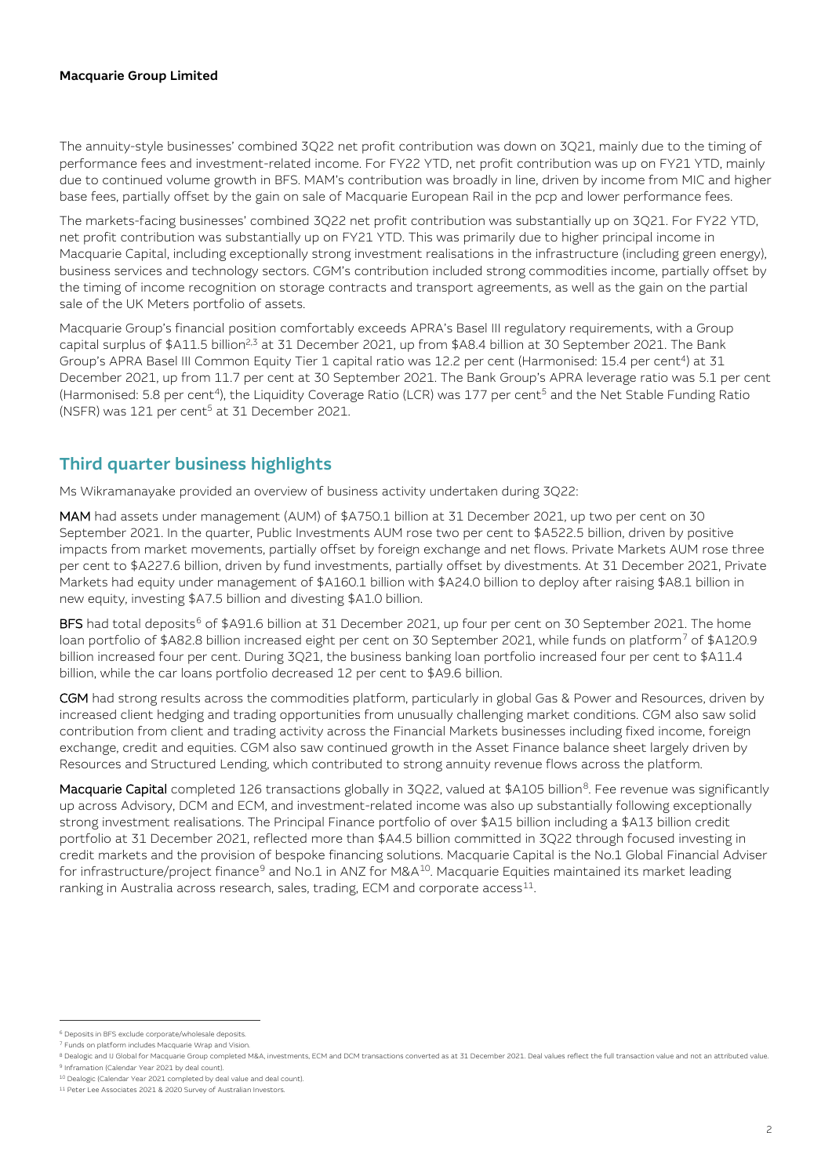## Macquarie Group Limited

The annuity-style businesses' combined 3Q22 net profit contribution was down on 3Q21, mainly due to the timing of performance fees and investment-related income. For FY22 YTD, net profit contribution was up on FY21 YTD, mainly due to continued volume growth in BFS. MAM's contribution was broadly in line, driven by income from MIC and higher base fees, partially offset by the gain on sale of Macquarie European Rail in the pcp and lower performance fees.

The markets-facing businesses' combined 3Q22 net profit contribution was substantially up on 3Q21. For FY22 YTD, net profit contribution was substantially up on FY21 YTD. This was primarily due to higher principal income in Macquarie Capital, including exceptionally strong investment realisations in the infrastructure (including green energy), business services and technology sectors. CGM's contribution included strong commodities income, partially offset by the timing of income recognition on storage contracts and transport agreements, as well as the gain on the partial sale of the UK Meters portfolio of assets.

Macquarie Group's financial position comfortably exceeds APRA's Basel III regulatory requirements, with a Group capital surplus of \$A11.5 billion<sup>2,3</sup> at 31 December 2021, up from \$A8.4 billion at 30 September 2021. The Bank Group's APRA Basel III Common Equity Tier 1 capital ratio was 12.2 per cent (Harmonised: 15.4 per cent4) at 31 December 2021, up from 11.7 per cent at 30 September 2021. The Bank Group's APRA leverage ratio was 5.1 per cent (Harmonised: 5.8 per cent<sup>4</sup>), the Liquidity Coverage Ratio (LCR) was 177 per cent<sup>5</sup> and the Net Stable Funding Ratio (NSFR) was 121 per cent<sup>5</sup> at 31 December 2021.

# Third quarter business highlights

Ms Wikramanayake provided an overview of business activity undertaken during 3Q22:

MAM had assets under management (AUM) of \$A750.1 billion at 31 December 2021, up two per cent on 30 September 2021. In the quarter, Public Investments AUM rose two per cent to \$A522.5 billion, driven by positive impacts from market movements, partially offset by foreign exchange and net flows. Private Markets AUM rose three per cent to \$A227.6 billion, driven by fund investments, partially offset by divestments. At 31 December 2021, Private Markets had equity under management of \$A160.1 billion with \$A24.0 billion to deploy after raising \$A8.1 billion in new equity, investing \$A7.5 billion and divesting \$A1.0 billion.

BFS had total deposits<sup>6</sup> of \$A91.6 billion at 31 December 2021, up four per cent on 30 September 2021. The home loan portfolio of \$A82.8 billion increased eight per cent on 30 September 2021, while funds on platform<sup>7</sup> of \$A120.9 billion increased four per cent. During 3Q21, the business banking loan portfolio increased four per cent to \$A11.4 billion, while the car loans portfolio decreased 12 per cent to \$A9.6 billion.

CGM had strong results across the commodities platform, particularly in global Gas & Power and Resources, driven by increased client hedging and trading opportunities from unusually challenging market conditions. CGM also saw solid contribution from client and trading activity across the Financial Markets businesses including fixed income, foreign exchange, credit and equities. CGM also saw continued growth in the Asset Finance balance sheet largely driven by Resources and Structured Lending, which contributed to strong annuity revenue flows across the platform.

Macquarie Capital completed 126 transactions globally in 3Q22, valued at \$A105 billion<sup>8</sup>. Fee revenue was significantly up across Advisory, DCM and ECM, and investment-related income was also up substantially following exceptionally strong investment realisations. The Principal Finance portfolio of over \$A15 billion including a \$A13 billion credit portfolio at 31 December 2021, reflected more than \$A4.5 billion committed in 3Q22 through focused investing in credit markets and the provision of bespoke financing solutions. Macquarie Capital is the No.1 Global Financial Adviser for infrastructure/project finance<sup>9</sup> and No.1 in ANZ for M&A<sup>10</sup>. Macquarie Equities maintained its market leading ranking in Australia across research, sales, trading, ECM and corporate access<sup>11</sup>.

<sup>6</sup> Deposits in BFS exclude corporate/wholesale deposits.

<sup>7</sup> Funds on platform includes Macquarie Wrap and Vision.

<sup>8</sup> Dealogic and IJ Global for Macquarie Group completed M&A, investments, ECM and DCM transactions converted as at 31 December 2021. Deal values reflect the full transaction value and not an attributed value. <sup>9</sup> Inframation (Calendar Year 2021 by deal count).

<sup>10</sup> Dealogic (Calendar Year 2021 completed by deal value and deal count).

<sup>11</sup> Peter Lee Associates 2021 & 2020 Survey of Australian Investors.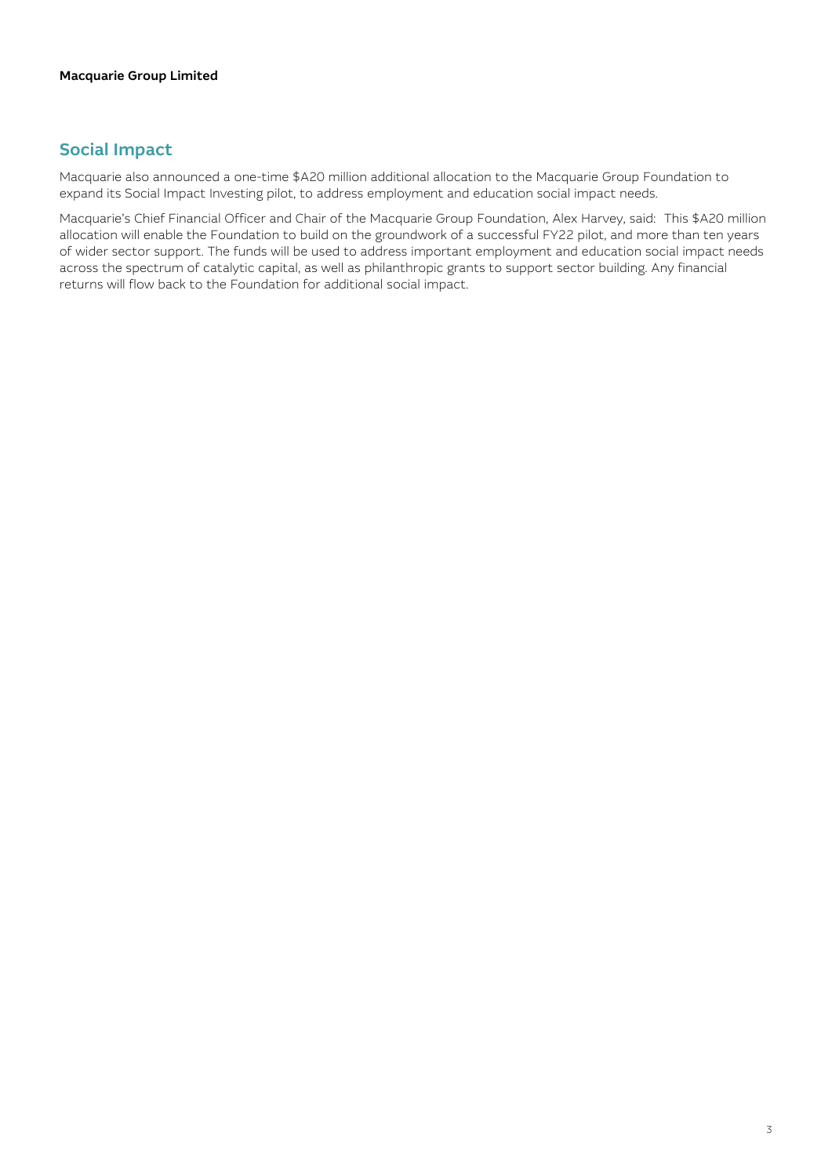# Social Impact

Macquarie also announced a one-time \$A20 million additional allocation to the Macquarie Group Foundation to expand its Social Impact Investing pilot, to address employment and education social impact needs.

Macquarie's Chief Financial Officer and Chair of the Macquarie Group Foundation, Alex Harvey, said: This \$A20 million allocation will enable the Foundation to build on the groundwork of a successful FY22 pilot, and more than ten years of wider sector support. The funds will be used to address important employment and education social impact needs across the spectrum of catalytic capital, as well as philanthropic grants to support sector building. Any financial returns will flow back to the Foundation for additional social impact.